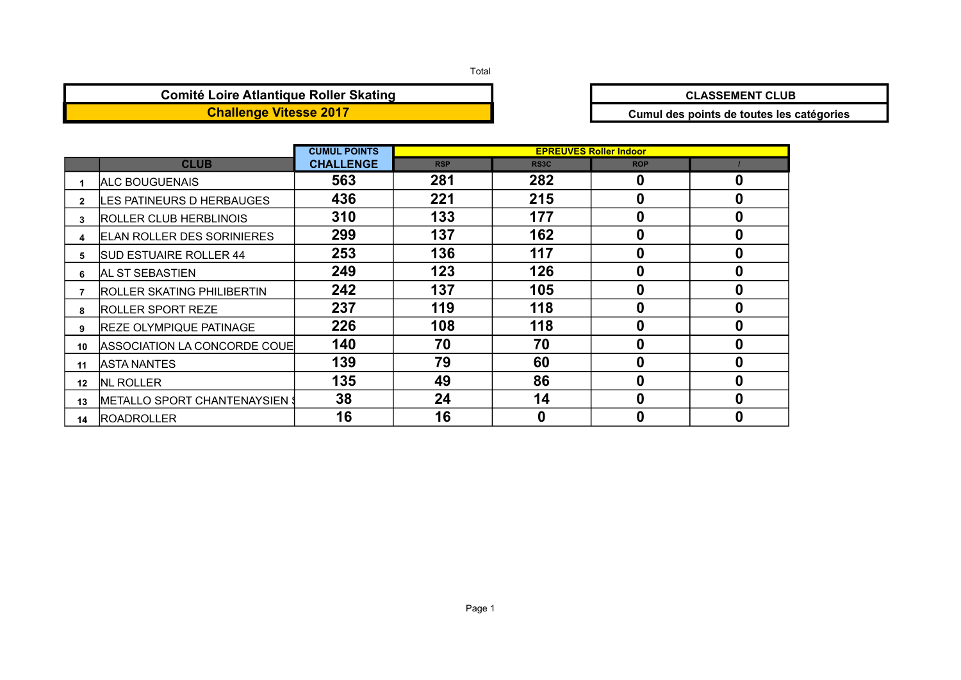### Total

### **Comité Loire Atlantique Roller Skating**<br> **CLASSEMENT CLUB Challenge Vitesse 2017 Challenge Vitesse 2017 Cumul des points de toutes les catégories**

|              |                                        | <b>CUMUL POINTS</b> |            |                   | <b>EPREUVES Roller Indoor</b> |   |
|--------------|----------------------------------------|---------------------|------------|-------------------|-------------------------------|---|
|              | <b>CLUB</b>                            | <b>CHALLENGE</b>    | <b>RSP</b> | RS <sub>3</sub> C | <b>ROP</b>                    |   |
|              | <b>ALC BOUGUENAIS</b>                  | 563                 | 281        | 282               | 0                             | 0 |
| $\mathbf{2}$ | LES PATINEURS D HERBAUGES              | 436                 | 221        | 215               | 0                             | 0 |
| 3            | <b>ROLLER CLUB HERBLINOIS</b>          | 310                 | 133        | 177               | 0                             | 0 |
|              | <b>ELAN ROLLER DES SORINIERES</b>      | 299                 | 137        | 162               | 0                             | 0 |
| 5            | <b>SUD ESTUAIRE ROLLER 44</b>          | 253                 | 136        | 117               | 0                             | 0 |
| 6            | <b>AL ST SEBASTIEN</b>                 | 249                 | 123        | 126               | 0                             | 0 |
|              | <b>ROLLER SKATING PHILIBERTIN</b>      | 242                 | 137        | 105               | 0                             | 0 |
| 8            | <b>ROLLER SPORT REZE</b>               | 237                 | 119        | 118               | 0                             | 0 |
| 9            | <b>REZE OLYMPIQUE PATINAGE</b>         | 226                 | 108        | 118               | 0                             | 0 |
| 10           | ASSOCIATION LA CONCORDE COUE           | 140                 | 70         | 70                | 0                             | 0 |
| 11           | <b>ASTA NANTES</b>                     | 139                 | 79         | 60                | 0                             | 0 |
| 12           | <b>NL ROLLER</b>                       | 135                 | 49         | 86                | 0                             | 0 |
| 13           | <b>IMETALLO SPORT CHANTENAYSIEN \$</b> | 38                  | 24         | 14                | 0                             | 0 |
| 14           | <b>IROADROLLER</b>                     | 16                  | 16         | 0                 | 0                             | 0 |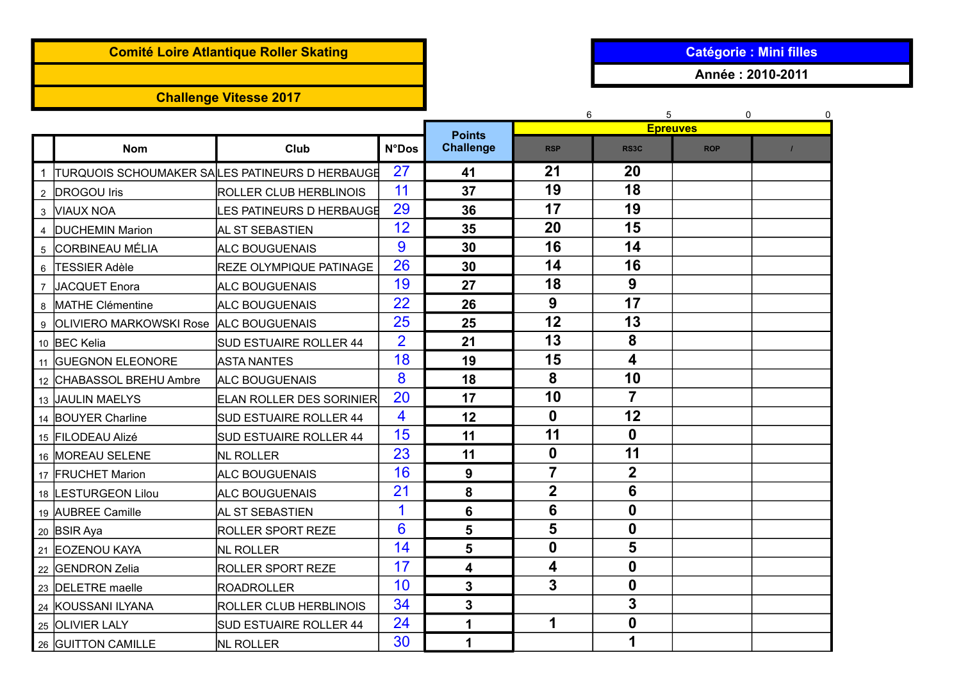## **Comité Loire Atlantique Roller Skating and Catégorie : Mini filles**

# **Challenge Vitesse 2017**

**Année : 2010-2011**

|                                          |                                                   |                |                                   | 6                | 5                | $\Omega$<br><b>Epreuves</b> | 0 |
|------------------------------------------|---------------------------------------------------|----------------|-----------------------------------|------------------|------------------|-----------------------------|---|
| <b>Nom</b>                               | Club                                              | <b>N°Dos</b>   | <b>Points</b><br><b>Challenge</b> | <b>RSP</b>       | RS3C             | <b>ROP</b>                  |   |
|                                          | 1 TURQUOIS SCHOUMAKER SALLES PATINEURS D HERBAUGE | 27             | 41                                | 21               | 20               |                             |   |
| 2 DROGOU Iris                            | <b>ROLLER CLUB HERBLINOIS</b>                     | 11             | 37                                | 19               | 18               |                             |   |
| 3 VIAUX NOA                              | LES PATINEURS D HERBAUGE                          | 29             | 36                                | 17               | 19               |                             |   |
| 4 DUCHEMIN Marion                        | AL ST SEBASTIEN                                   | 12             | 35                                | 20               | 15               |                             |   |
| 5 CORBINEAU MÉLIA                        | <b>ALC BOUGUENAIS</b>                             | 9              | 30                                | 16               | 14               |                             |   |
| 6 TESSIER Adèle                          | <b>REZE OLYMPIQUE PATINAGE</b>                    | 26             | 30                                | 14               | 16               |                             |   |
| 7 JACQUET Enora                          | <b>ALC BOUGUENAIS</b>                             | 19             | 27                                | 18               | 9                |                             |   |
| 8 MATHE Clémentine                       | <b>ALC BOUGUENAIS</b>                             | 22             | 26                                | 9                | 17               |                             |   |
| 9 OLIVIERO MARKOWSKI Rose ALC BOUGUENAIS |                                                   | 25             | 25                                | 12               | 13               |                             |   |
| 10 BEC Kelia                             | <b>SUD ESTUAIRE ROLLER 44</b>                     | $\overline{2}$ | 21                                | 13               | 8                |                             |   |
| 11 GUEGNON ELEONORE                      | <b>ASTA NANTES</b>                                | 18             | 19                                | 15               | 4                |                             |   |
| 12 CHABASSOL BREHU Ambre                 | <b>ALC BOUGUENAIS</b>                             | 8              | 18                                | 8                | 10               |                             |   |
| 13 JAULIN MAELYS                         | <b>ELAN ROLLER DES SORINIER</b>                   | 20             | 17                                | 10               | $\overline{7}$   |                             |   |
| 14 BOUYER Charline                       | <b>SUD ESTUAIRE ROLLER 44</b>                     | 4              | 12                                | $\boldsymbol{0}$ | 12               |                             |   |
| 15 FILODEAU Alizé                        | <b>SUD ESTUAIRE ROLLER 44</b>                     | 15             | 11                                | 11               | 0                |                             |   |
| 16 MOREAU SELENE                         | <b>NL ROLLER</b>                                  | 23             | 11                                | $\boldsymbol{0}$ | 11               |                             |   |
| 17 FRUCHET Marion                        | ALC BOUGUENAIS                                    | 16             | 9                                 | $\overline{7}$   | $\mathbf 2$      |                             |   |
| 18 LESTURGEON Lilou                      | <b>ALC BOUGUENAIS</b>                             | 21             | 8                                 | $\mathbf 2$      | 6                |                             |   |
| 19 AUBREE Camille                        | AL ST SEBASTIEN                                   | 1              | 6                                 | 6                | $\mathbf{0}$     |                             |   |
| 20 BSIR Aya                              | <b>ROLLER SPORT REZE</b>                          | 6              | 5                                 | 5                | $\boldsymbol{0}$ |                             |   |
| 21 EOZENOU KAYA                          | <b>NL ROLLER</b>                                  | 14             | 5                                 | $\bf{0}$         | 5                |                             |   |
| 22 GENDRON Zelia                         | <b>ROLLER SPORT REZE</b>                          | 17             | 4                                 | 4                | $\mathbf 0$      |                             |   |
| 23 DELETRE maelle                        | ROADROLLER                                        | 10             | 3                                 | 3                | $\mathbf 0$      |                             |   |
| 24 KOUSSANI ILYANA                       | <b>ROLLER CLUB HERBLINOIS</b>                     | 34             | 3                                 |                  | 3                |                             |   |
| 25 OLIVIER LALY                          | <b>SUD ESTUAIRE ROLLER 44</b>                     | 24             | 1                                 | 1                | $\boldsymbol{0}$ |                             |   |
| 26 GUITTON CAMILLE                       | <b>NL ROLLER</b>                                  | 30             | 1                                 |                  | 1                |                             |   |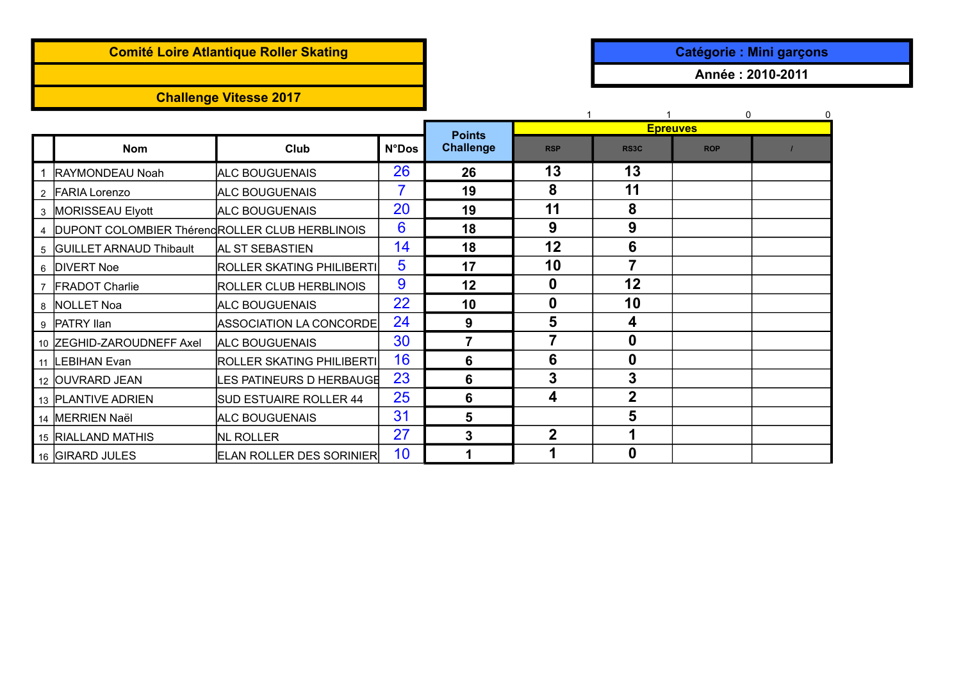# **Comité Loire Atlantique Roller Skating and Catégorie in the Catégorie : Mini garçons**

## **Challenge Vitesse 2017**

**Année : 2010-2011**

|                                                  |                                 |              |                  |             |                   | $\Omega$        |  |
|--------------------------------------------------|---------------------------------|--------------|------------------|-------------|-------------------|-----------------|--|
|                                                  |                                 |              | <b>Points</b>    |             |                   | <b>Epreuves</b> |  |
| <b>Nom</b>                                       | Club                            | <b>N°Dos</b> | <b>Challenge</b> | <b>RSP</b>  | RS <sub>3</sub> C | <b>ROP</b>      |  |
| 1 RAYMONDEAU Noah                                | <b>ALC BOUGUENAIS</b>           | 26           | 26               | 13          | 13                |                 |  |
| 2 FARIA Lorenzo                                  | <b>ALC BOUGUENAIS</b>           | 7            | 19               | 8           | 11                |                 |  |
| 3 MORISSEAU Elyott                               | <b>ALC BOUGUENAIS</b>           | 20           | 19               | 11          | 8                 |                 |  |
| 4 DUPONT COLOMBIER ThérendROLLER CLUB HERBLINOIS |                                 | 6            | 18               | 9           | 9                 |                 |  |
| 5 GUILLET ARNAUD Thibault                        | AL ST SEBASTIEN                 | 14           | 18               | 12          | 6                 |                 |  |
| 6 DIVERT Noe                                     | ROLLER SKATING PHILIBERTI       | 5            | 17               | 10          | 7                 |                 |  |
| 7 FRADOT Charlie                                 | ROLLER CLUB HERBLINOIS          | 9            | 12               | 0           | 12                |                 |  |
| 8 NOLLET Noa                                     | <b>ALC BOUGUENAIS</b>           | 22           | 10               | 0           | 10                |                 |  |
| 9 PATRY llan                                     | ASSOCIATION LA CONCORDE         | 24           | 9                | 5           | 4                 |                 |  |
| 10 ZEGHID-ZAROUDNEFF Axel                        | <b>ALC BOUGUENAIS</b>           | 30           | 7                | 7           | 0                 |                 |  |
| 11 LEBIHAN Evan                                  | ROLLER SKATING PHILIBERTI       | 16           | 6                | 6           | 0                 |                 |  |
| 12 OUVRARD JEAN                                  | <b>ES PATINEURS D HERBAUGE</b>  | 23           | 6                | 3           | 3                 |                 |  |
| 13 PLANTIVE ADRIEN                               | <b>SUD ESTUAIRE ROLLER 44</b>   | 25           | 6                | 4           | $\overline{2}$    |                 |  |
| 14 MERRIEN Naël                                  | <b>ALC BOUGUENAIS</b>           | 31           | 5                |             | 5                 |                 |  |
| 15 RIALLAND MATHIS                               | NL ROLLER                       | 27           | $\mathbf{3}$     | $\mathbf 2$ |                   |                 |  |
| 16 GIRARD JULES                                  | <b>ELAN ROLLER DES SORINIER</b> | 10           |                  |             | 0                 |                 |  |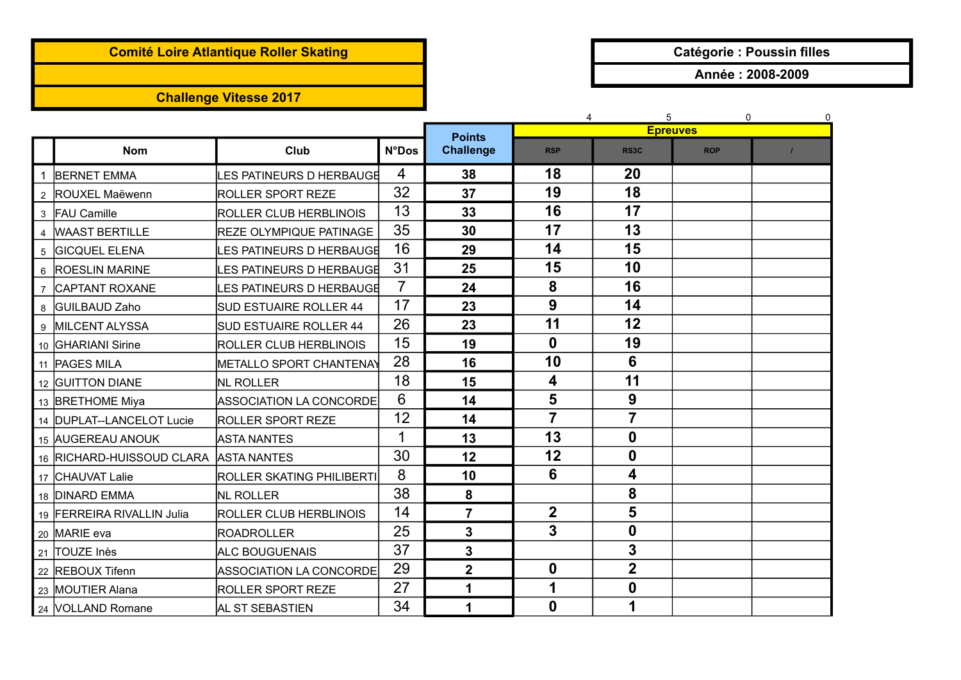## **Comité Loire Atlantique Roller Skating and Catégorie : Poussin filles**

# **Challenge Vitesse 2017**

**Année : 2008-2009**

|                |                             |                                 |                |                  | $\overline{4}$          | 5                       | $\Omega$        | $\mathbf 0$ |
|----------------|-----------------------------|---------------------------------|----------------|------------------|-------------------------|-------------------------|-----------------|-------------|
|                |                             |                                 |                | <b>Points</b>    |                         |                         | <b>Epreuves</b> |             |
|                | <b>Nom</b>                  | Club                            | <b>N°Dos</b>   | <b>Challenge</b> | <b>RSP</b>              | RS <sub>3</sub> C       | <b>ROP</b>      |             |
|                | <b>BERNET EMMA</b>          | ES PATINEURS D HERBAUGE         | $\overline{4}$ | 38               | 18                      | 20                      |                 |             |
|                | 2 ROUXEL Maëwenn            | <b>ROLLER SPORT REZE</b>        | 32             | 37               | 19                      | 18                      |                 |             |
|                | 3 FAU Camille               | <b>ROLLER CLUB HERBLINOIS</b>   | 13             | 33               | 16                      | 17                      |                 |             |
|                | 4   WAAST BERTILLE          | <b>REZE OLYMPIQUE PATINAGE</b>  | 35             | 30               | 17                      | 13                      |                 |             |
| $5^{\circ}$    | <b>GICQUEL ELENA</b>        | <b>LES PATINEURS D HERBAUGE</b> | 16             | 29               | 14                      | 15                      |                 |             |
|                | 6 ROESLIN MARINE            | ES PATINEURS D HERBAUGE         | 31             | 25               | 15                      | 10                      |                 |             |
| $\overline{7}$ | <b>CAPTANT ROXANE</b>       | ES PATINEURS D HERBAUGE         | $\overline{7}$ | 24               | 8                       | 16                      |                 |             |
|                | 8 GUILBAUD Zaho             | <b>SUD ESTUAIRE ROLLER 44</b>   | 17             | 23               | 9                       | 14                      |                 |             |
|                | 9 MILCENT ALYSSA            | <b>SUD ESTUAIRE ROLLER 44</b>   | 26             | 23               | 11                      | 12                      |                 |             |
|                | 10 GHARIANI Sirine          | <b>ROLLER CLUB HERBLINOIS</b>   | 15             | 19               | $\mathbf 0$             | 19                      |                 |             |
|                | 11   PAGES MILA             | <b>METALLO SPORT CHANTENAY</b>  | 28             | 16               | 10                      | 6                       |                 |             |
|                | 12 GUITTON DIANE            | <b>NL ROLLER</b>                | 18             | 15               | 4                       | 11                      |                 |             |
|                | 13 BRETHOME Miya            | <b>ASSOCIATION LA CONCORDE</b>  | 6              | 14               | 5                       | 9                       |                 |             |
|                | 14   DUPLAT--LANCELOT Lucie | <b>ROLLER SPORT REZE</b>        | 12             | 14               | $\overline{7}$          | 7                       |                 |             |
|                | 15 AUGEREAU ANOUK           | <b>ASTA NANTES</b>              | 1              | 13               | 13                      | $\boldsymbol{0}$        |                 |             |
|                | 16 RICHARD-HUISSOUD CLARA   | <b>ASTA NANTES</b>              | 30             | 12               | 12                      | $\boldsymbol{0}$        |                 |             |
|                | 17 CHAUVAT Lalie            | ROLLER SKATING PHILIBERTI       | 8              | 10               | 6                       | 4                       |                 |             |
|                | 18 DINARD EMMA              | <b>NL ROLLER</b>                | 38             | 8                |                         | 8                       |                 |             |
|                | 19 FERREIRA RIVALLIN Julia  | <b>ROLLER CLUB HERBLINOIS</b>   | 14             | $\overline{7}$   | $\overline{\mathbf{2}}$ | 5                       |                 |             |
|                | 20 MARIE eva                | <b>ROADROLLER</b>               | 25             | 3                | 3                       | $\boldsymbol{0}$        |                 |             |
|                | 21 TOUZE Inès               | <b>ALC BOUGUENAIS</b>           | 37             | 3                |                         | 3                       |                 |             |
|                | 22 REBOUX Tifenn            | <b>ASSOCIATION LA CONCORDE</b>  | 29             | $\mathbf 2$      | $\boldsymbol{0}$        | $\overline{\mathbf{2}}$ |                 |             |
|                | 23 MOUTIER Alana            | <b>ROLLER SPORT REZE</b>        | 27             | 1                | 1                       | $\boldsymbol{0}$        |                 |             |
|                | 24 VOLLAND Romane           | AL ST SEBASTIEN                 | 34             | 1                | $\bf{0}$                | 1                       |                 |             |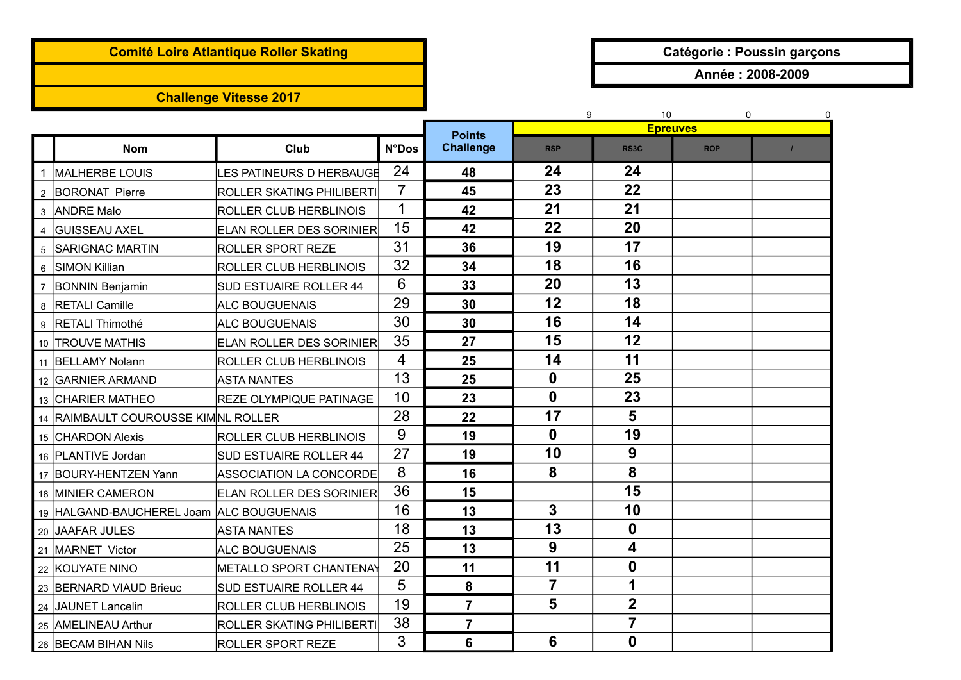## **Comité Loire Atlantique Roller Skating and Catégorie : Poussin garçons**

## **Challenge Vitesse 2017**

**Année : 2008-2009**

|                |                                          |                                 |                |                                   | 9                | 10<br><b>Epreuves</b>   | 0          | 0 |
|----------------|------------------------------------------|---------------------------------|----------------|-----------------------------------|------------------|-------------------------|------------|---|
|                | <b>Nom</b>                               | Club                            | <b>N°Dos</b>   | <b>Points</b><br><b>Challenge</b> | <b>RSP</b>       | RS3C                    | <b>ROP</b> |   |
|                | <b>MALHERBE LOUIS</b>                    | LES PATINEURS D HERBAUGE        | 24             | 48                                | 24               | 24                      |            |   |
| $\overline{2}$ | <b>BORONAT Pierre</b>                    | ROLLER SKATING PHILIBERTI       | $\overline{7}$ | 45                                | 23               | 22                      |            |   |
| 3              | <b>ANDRE Malo</b>                        | ROLLER CLUB HERBLINOIS          | 1              | 42                                | 21               | 21                      |            |   |
| 4              | İGUISSEAU AXEL                           | <b>ELAN ROLLER DES SORINIER</b> | 15             | 42                                | 22               | 20                      |            |   |
|                | 5 SARIGNAC MARTIN                        | <b>ROLLER SPORT REZE</b>        | 31             | 36                                | 19               | 17                      |            |   |
| 6              | <b>SIMON Killian</b>                     | ROLLER CLUB HERBLINOIS          | 32             | 34                                | 18               | 16                      |            |   |
| $\overline{7}$ | <b>BONNIN Benjamin</b>                   | <b>SUD ESTUAIRE ROLLER 44</b>   | 6              | 33                                | 20               | 13                      |            |   |
| 8              | <b>RETALI Camille</b>                    | ALC BOUGUENAIS                  | 29             | 30                                | 12               | 18                      |            |   |
|                | 9 RETALI Thimothé                        | <b>ALC BOUGUENAIS</b>           | 30             | 30                                | 16               | 14                      |            |   |
|                | 10 TROUVE MATHIS                         | ELAN ROLLER DES SORINIER        | 35             | 27                                | 15               | 12                      |            |   |
|                | 11 BELLAMY Nolann                        | ROLLER CLUB HERBLINOIS          | 4              | 25                                | 14               | 11                      |            |   |
|                | 12 GARNIER ARMAND                        | <b>ASTA NANTES</b>              | 13             | 25                                | $\boldsymbol{0}$ | 25                      |            |   |
|                | 13 CHARIER MATHEO                        | <b>REZE OLYMPIQUE PATINAGE</b>  | 10             | 23                                | $\boldsymbol{0}$ | 23                      |            |   |
| 14             | <b>RAIMBAULT COUROUSSE KIMNL ROLLER</b>  |                                 | 28             | 22                                | 17               | 5                       |            |   |
|                | 15 CHARDON Alexis                        | ROLLER CLUB HERBLINOIS          | 9              | 19                                | $\boldsymbol{0}$ | 19                      |            |   |
|                | 16 PLANTIVE Jordan                       | SUD ESTUAIRE ROLLER 44          | 27             | 19                                | 10               | 9                       |            |   |
|                | 17 BOURY-HENTZEN Yann                    | <b>ASSOCIATION LA CONCORDE</b>  | 8              | 16                                | 8                | 8                       |            |   |
|                | 18 MINIER CAMERON                        | ELAN ROLLER DES SORINIER        | 36             | 15                                |                  | 15                      |            |   |
|                | 19 HALGAND-BAUCHEREL Joam ALC BOUGUENAIS |                                 | 16             | 13                                | 3                | 10                      |            |   |
|                | 20 JAAFAR JULES                          | <b>ASTA NANTES</b>              | 18             | 13                                | 13               | 0                       |            |   |
|                | 21 MARNET Victor                         | ALC BOUGUENAIS                  | 25             | 13                                | 9                | 4                       |            |   |
|                | 22 KOUYATE NINO                          | METALLO SPORT CHANTENAY         | 20             | 11                                | 11               | 0                       |            |   |
|                | 23 BERNARD VIAUD Brieuc                  | <b>SUD ESTUAIRE ROLLER 44</b>   | 5              | 8                                 | $\overline{7}$   | 1                       |            |   |
|                | 24 JAUNET Lancelin                       | ROLLER CLUB HERBLINOIS          | 19             | $\overline{7}$                    | 5                | $\overline{\mathbf{2}}$ |            |   |
|                | 25 AMELINEAU Arthur                      | ROLLER SKATING PHILIBERTI       | 38             | $\overline{7}$                    |                  | $\overline{7}$          |            |   |
|                | 26 BECAM BIHAN Nils                      | <b>ROLLER SPORT REZE</b>        | 3              | 6                                 | 6                | $\mathbf 0$             |            |   |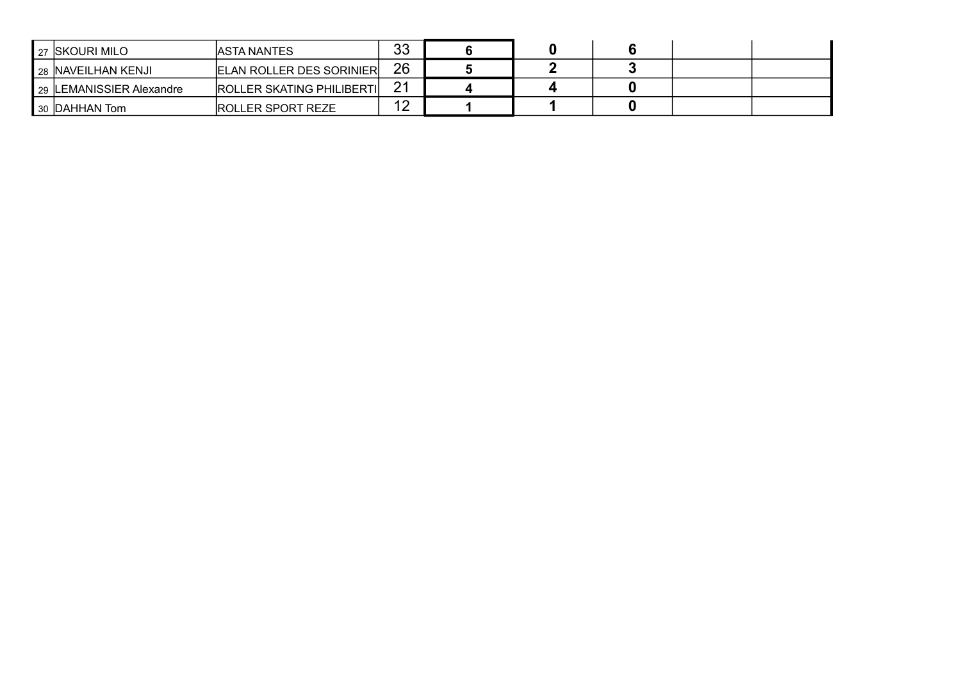| I 27 ISKOURI MILO                           | <b>JASTA NANTES</b>              | 33                        |  |  |  |
|---------------------------------------------|----------------------------------|---------------------------|--|--|--|
| I 28 INAVEILHAN KENJI                       | <b>ELAN ROLLER DES SORINIER</b>  | 26                        |  |  |  |
| 29 ILEMANISSIER Alexandre                   | <b>ROLLER SKATING PHILIBERTI</b> | 21                        |  |  |  |
| $\blacksquare$ 30 $\blacksquare$ DAHHAN Tom | <b>IROLLER SPORT REZE</b>        | $\Lambda$ $\Omega$<br>. . |  |  |  |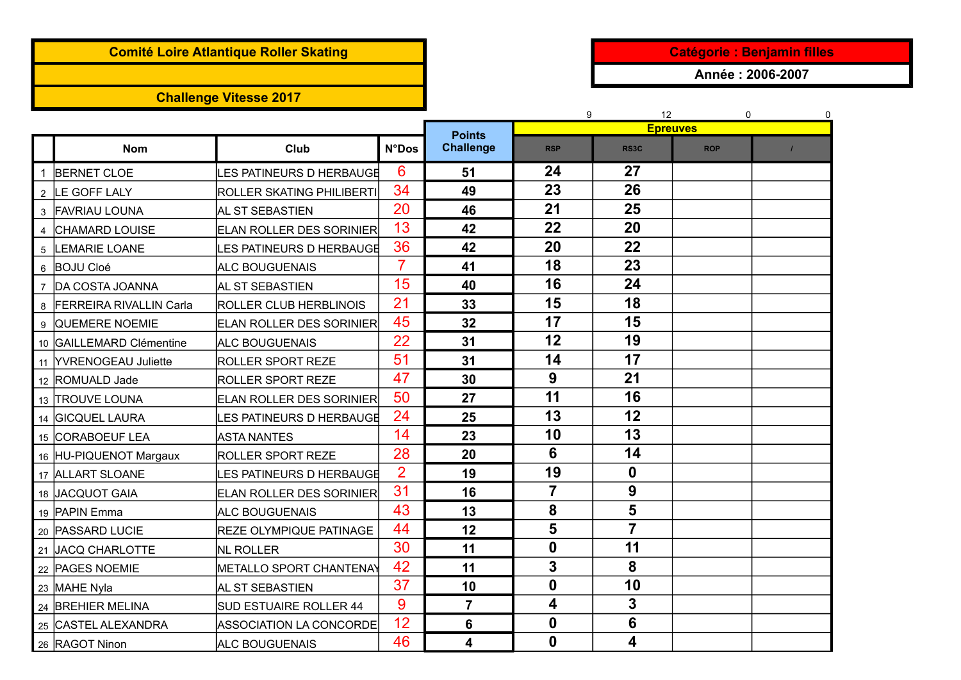# **Comité Loire Atlantique Roller Skating Catégorie : Benjamin filles**

## **Challenge Vitesse 2017**

**Année : 2006-2007**

|                |                           |                                 |                |                                   | 9                | 12                      | $\Omega$<br><b>Epreuves</b> | 0 |
|----------------|---------------------------|---------------------------------|----------------|-----------------------------------|------------------|-------------------------|-----------------------------|---|
|                | <b>Nom</b>                | Club                            | <b>N°Dos</b>   | <b>Points</b><br><b>Challenge</b> | <b>RSP</b>       | RS3C                    | <b>ROP</b>                  |   |
| $\overline{1}$ | <b>BERNET CLOE</b>        | LES PATINEURS D HERBAUGE        | 6              | 51                                | 24               | 27                      |                             |   |
|                | 2  LE GOFF LALY           | ROLLER SKATING PHILIBERTI       | 34             | 49                                | 23               | 26                      |                             |   |
|                | 3 FAVRIAU LOUNA           | AL ST SEBASTIEN                 | 20             | 46                                | 21               | 25                      |                             |   |
|                | 4 CHAMARD LOUISE          | <b>ELAN ROLLER DES SORINIER</b> | 13             | 42                                | 22               | 20                      |                             |   |
|                | 5 LEMARIE LOANE           | LES PATINEURS D HERBAUGE        | 36             | 42                                | 20               | 22                      |                             |   |
|                | 6 BOJU Cloé               | <b>ALC BOUGUENAIS</b>           | 7              | 41                                | 18               | 23                      |                             |   |
|                | 7 DA COSTA JOANNA         | AL ST SEBASTIEN                 | 15             | 40                                | 16               | 24                      |                             |   |
|                | 8 FERREIRA RIVALLIN Carla | ROLLER CLUB HERBLINOIS          | 21             | 33                                | 15               | 18                      |                             |   |
|                | 9 QUEMERE NOEMIE          | <b>ELAN ROLLER DES SORINIER</b> | 45             | 32                                | 17               | 15                      |                             |   |
|                | 10 GAILLEMARD Clémentine  | <b>ALC BOUGUENAIS</b>           | 22             | 31                                | 12               | 19                      |                             |   |
|                | 11 YVRENOGEAU Juliette    | <b>ROLLER SPORT REZE</b>        | 51             | 31                                | 14               | 17                      |                             |   |
|                | 12  ROMUALD Jade          | <b>ROLLER SPORT REZE</b>        | 47             | 30                                | 9                | 21                      |                             |   |
|                | 13 TROUVE LOUNA           | <b>ELAN ROLLER DES SORINIER</b> | 50             | 27                                | 11               | 16                      |                             |   |
|                | 14 GICQUEL LAURA          | LES PATINEURS D HERBAUGE        | 24             | 25                                | 13               | 12                      |                             |   |
|                | 15 CORABOEUF LEA          | <b>ASTA NANTES</b>              | 14             | 23                                | 10               | 13                      |                             |   |
|                | 16 HU-PIQUENOT Margaux    | <b>ROLLER SPORT REZE</b>        | 28             | 20                                | 6                | 14                      |                             |   |
|                | 17 ALLART SLOANE          | LES PATINEURS D HERBAUGE        | $\overline{2}$ | 19                                | 19               | $\mathbf 0$             |                             |   |
|                | 18 JACQUOT GAIA           | ELAN ROLLER DES SORINIER        | 31             | 16                                | $\overline{7}$   | 9                       |                             |   |
|                | 19 PAPIN Emma             | <b>ALC BOUGUENAIS</b>           | 43             | 13                                | 8                | 5                       |                             |   |
|                | 20 PASSARD LUCIE          | <b>REZE OLYMPIQUE PATINAGE</b>  | 44             | 12                                | 5                | $\overline{\mathbf{r}}$ |                             |   |
|                | 21 JACQ CHARLOTTE         | <b>INL ROLLER</b>               | 30             | 11                                | $\boldsymbol{0}$ | 11                      |                             |   |
|                | 22 PAGES NOEMIE           | METALLO SPORT CHANTENAY         | 42             | 11                                | 3                | 8                       |                             |   |
|                | 23 MAHE Nyla              | AL ST SEBASTIEN                 | 37             | 10                                | $\mathbf{0}$     | 10                      |                             |   |
|                | 24 BREHIER MELINA         | SUD ESTUAIRE ROLLER 44          | 9              | $\overline{7}$                    | 4                | 3                       |                             |   |
|                | 25 CASTEL ALEXANDRA       | <b>ASSOCIATION LA CONCORDE</b>  | 12             | 6                                 | 0                | $6\phantom{1}6$         |                             |   |
|                | 26 RAGOT Ninon            | <b>ALC BOUGUENAIS</b>           | 46             | $\overline{\mathbf{4}}$           | $\boldsymbol{0}$ | 4                       |                             |   |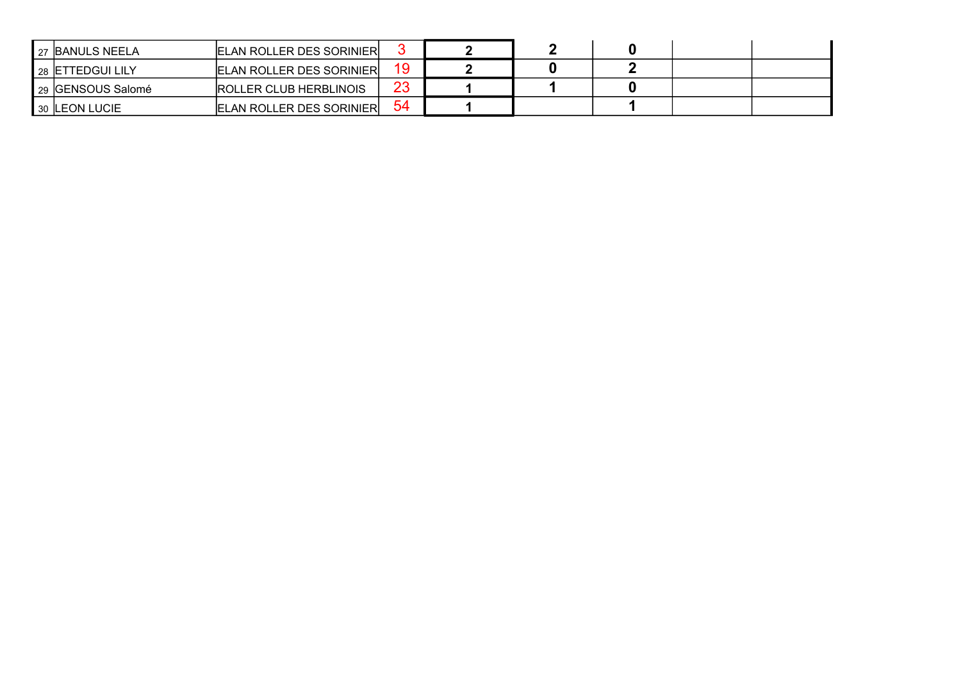| <b>I 27 BANULS NEELA</b> | <b>ELAN ROLLER DES SORINIER</b> |    |  |  |  |
|--------------------------|---------------------------------|----|--|--|--|
| I 28 IETTEDGUI LILY      | <b>ELAN ROLLER DES SORINIER</b> |    |  |  |  |
| 29 GENSOUS Salomé        | <b>ROLLER CLUB HERBLINOIS</b>   | 23 |  |  |  |
| 30 LEON LUCIE            | <b>ELAN ROLLER DES SORINIER</b> | 54 |  |  |  |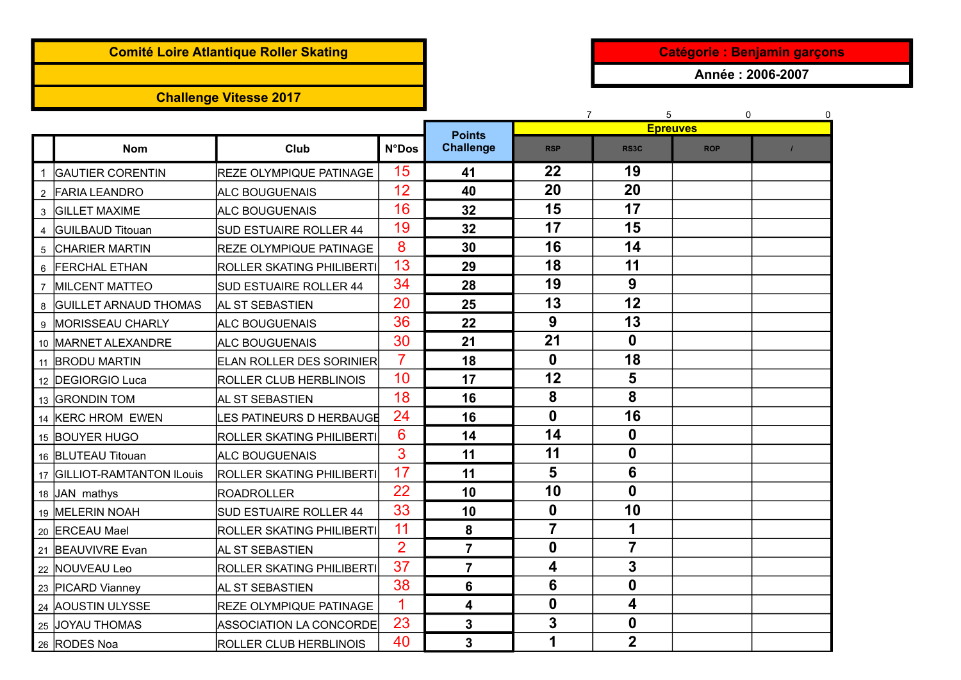## **Comité Loire Atlantique Roller Skating and Catégorie : Benjamin garçons**

## **Challenge Vitesse 2017**

**Année : 2006-2007**

|                |                             |                                  |                |                                   | 7                | 5                | 0<br><b>Epreuves</b> | 0 |
|----------------|-----------------------------|----------------------------------|----------------|-----------------------------------|------------------|------------------|----------------------|---|
|                | <b>Nom</b>                  | Club                             | <b>N°Dos</b>   | <b>Points</b><br><b>Challenge</b> | <b>RSP</b>       | RS3C             | <b>ROP</b>           |   |
|                | <b>GAUTIER CORENTIN</b>     | <b>REZE OLYMPIQUE PATINAGE</b>   | 15             | 41                                | 22               | 19               |                      |   |
|                | 2 FARIA LEANDRO             | <b>ALC BOUGUENAIS</b>            | 12             | 40                                | 20               | 20               |                      |   |
|                | 3 GILLET MAXIME             | ALC BOUGUENAIS                   | 16             | 32                                | 15               | 17               |                      |   |
|                | <b>IGUILBAUD Titouan</b>    | <b>SUD ESTUAIRE ROLLER 44</b>    | 19             | 32                                | 17               | 15               |                      |   |
| 5              | <b>CHARIER MARTIN</b>       | <b>REZE OLYMPIQUE PATINAGE</b>   | 8              | 30                                | 16               | 14               |                      |   |
|                | 6 FERCHAL ETHAN             | ROLLER SKATING PHILIBERTI        | 13             | 29                                | 18               | 11               |                      |   |
| $\overline{7}$ | <b>MILCENT MATTEO</b>       | <b>SUD ESTUAIRE ROLLER 44</b>    | 34             | 28                                | 19               | 9                |                      |   |
|                | 8 GUILLET ARNAUD THOMAS     | <b>AL ST SEBASTIEN</b>           | 20             | 25                                | 13               | 12               |                      |   |
|                | 9 MORISSEAU CHARLY          | ALC BOUGUENAIS                   | 36             | 22                                | 9                | 13               |                      |   |
|                | 10 MARNET ALEXANDRE         | <b>ALC BOUGUENAIS</b>            | 30             | 21                                | 21               | $\mathbf{0}$     |                      |   |
|                | 11 BRODU MARTIN             | <b>ELAN ROLLER DES SORINIER</b>  | $\overline{7}$ | 18                                | $\boldsymbol{0}$ | 18               |                      |   |
|                | 12 DEGIORGIO Luca           | <b>ROLLER CLUB HERBLINOIS</b>    | 10             | 17                                | 12               | 5                |                      |   |
|                | 13 GRONDIN TOM              | AL ST SEBASTIEN                  | 18             | 16                                | 8                | 8                |                      |   |
|                | 14 KERC HROM EWEN           | LES PATINEURS D HERBAUGE         | 24             | 16                                | $\mathbf 0$      | 16               |                      |   |
|                | 15 BOUYER HUGO              | <b>ROLLER SKATING PHILIBERTI</b> | 6              | 14                                | 14               | 0                |                      |   |
|                | 16 BLUTEAU Titouan          | <b>ALC BOUGUENAIS</b>            | 3              | 11                                | 11               | $\mathbf{0}$     |                      |   |
|                | 17 GILLIOT-RAMTANTON ILouis | <b>ROLLER SKATING PHILIBERTI</b> | 17             | 11                                | 5                | 6                |                      |   |
|                | 18 JAN mathys               | <b>ROADROLLER</b>                | 22             | 10                                | 10               | $\mathbf 0$      |                      |   |
|                | 19 MELERIN NOAH             | <b>SUD ESTUAIRE ROLLER 44</b>    | 33             | 10                                | $\mathbf 0$      | 10               |                      |   |
|                | 20 ERCEAU Mael              | <b>ROLLER SKATING PHILIBERTI</b> | 11             | 8                                 | $\overline{7}$   | 1                |                      |   |
|                | 21 BEAUVIVRE Evan           | AL ST SEBASTIEN                  | $\overline{2}$ | $\overline{7}$                    | $\boldsymbol{0}$ | $\overline{7}$   |                      |   |
|                | 22 NOUVEAU Leo              | <b>ROLLER SKATING PHILIBERTI</b> | 37             | $\overline{7}$                    | 4                | 3                |                      |   |
|                | 23 PICARD Vianney           | AL ST SEBASTIEN                  | 38             | 6                                 | 6                | $\boldsymbol{0}$ |                      |   |
|                | 24 AOUSTIN ULYSSE           | <b>REZE OLYMPIQUE PATINAGE</b>   | 1              | $\overline{\mathbf{4}}$           | $\boldsymbol{0}$ | 4                |                      |   |
|                | 25 JOYAU THOMAS             | <b>ASSOCIATION LA CONCORDE</b>   | 23             | 3                                 | 3                | $\mathbf 0$      |                      |   |
|                | 26 RODES Noa                | <b>ROLLER CLUB HERBLINOIS</b>    | 40             | 3                                 | 1                | $\overline{2}$   |                      |   |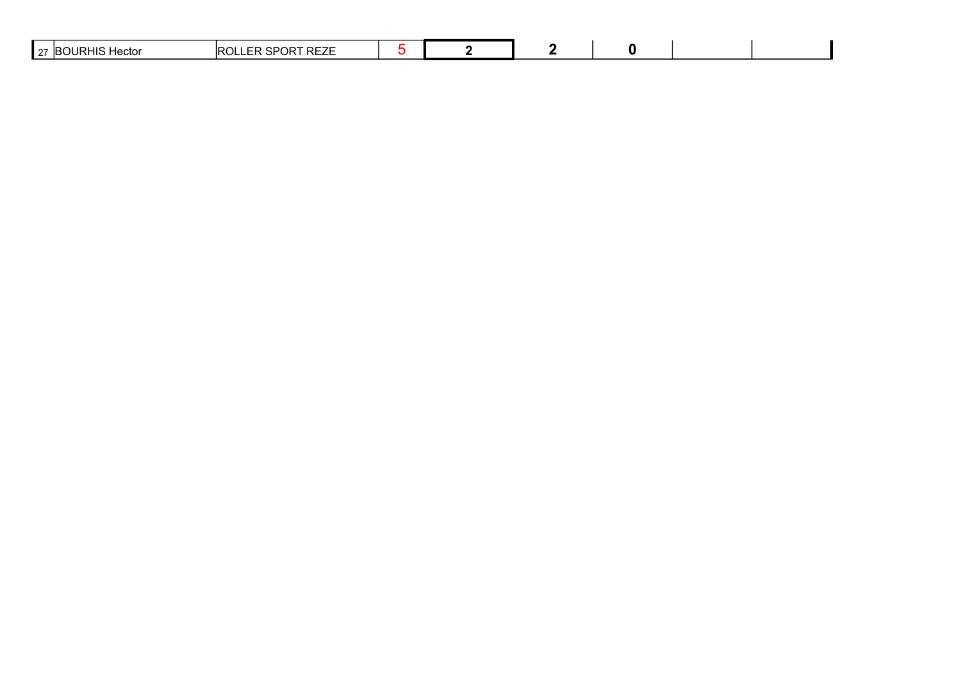| OPT PEZE<br>'n^'<br>$\sim$ $\sim$<br>1ector<br>1R1<br>. JI<br>UN<br><b>NELL</b><br>ື<br><br>∎ ∠⊣ |  |  |  |  |  |  |
|--------------------------------------------------------------------------------------------------|--|--|--|--|--|--|
|--------------------------------------------------------------------------------------------------|--|--|--|--|--|--|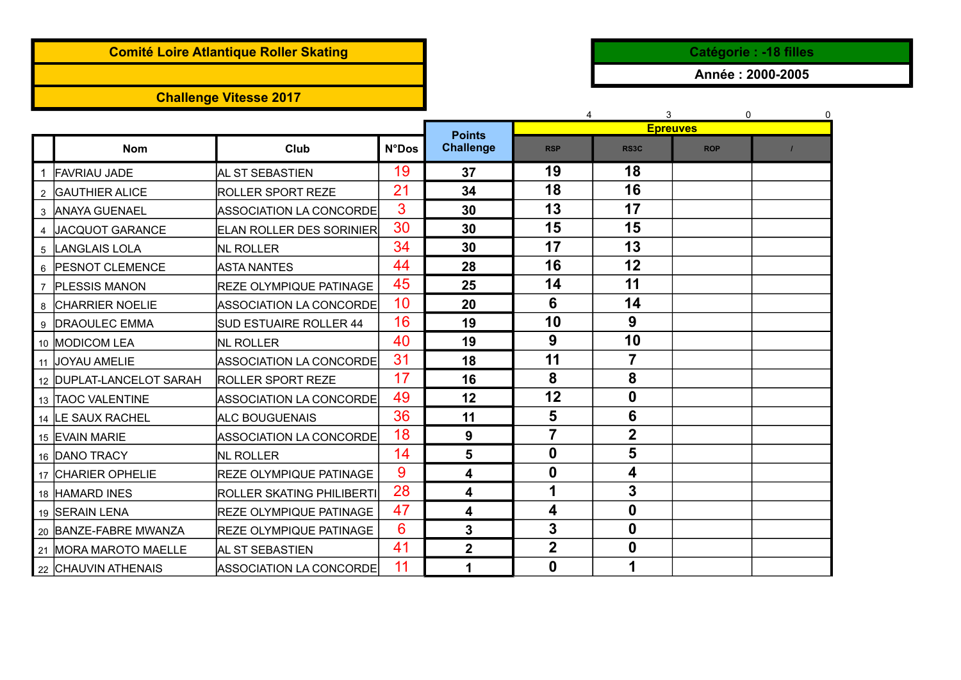## **Comité Loire Atlantique Roller Skating and Catégorie in the Catégorie : -18 filles**

# **Challenge Vitesse 2017**

**Année : 2000-2005**

|             |                          |                                 |              |                  | 4                       |                   | 3<br>$\Omega$   |  |
|-------------|--------------------------|---------------------------------|--------------|------------------|-------------------------|-------------------|-----------------|--|
|             |                          |                                 |              | <b>Points</b>    |                         |                   | <b>Epreuves</b> |  |
|             | <b>Nom</b>               | Club                            | <b>N°Dos</b> | <b>Challenge</b> | <b>RSP</b>              | RS <sub>3</sub> C | <b>ROP</b>      |  |
|             | 1 FAVRIAU JADE           | AL ST SEBASTIEN                 | 19           | 37               | 19                      | 18                |                 |  |
|             | 2 GAUTHIER ALICE         | <b>ROLLER SPORT REZE</b>        | 21           | 34               | 18                      | 16                |                 |  |
|             | 3 ANAYA GUENAEL          | ASSOCIATION LA CONCORDE         | 3            | 30               | 13                      | 17                |                 |  |
|             | 4 JACQUOT GARANCE        | <b>ELAN ROLLER DES SORINIER</b> | 30           | 30               | 15                      | 15                |                 |  |
| $5^{\circ}$ | LANGLAIS LOLA            | NL ROLLER                       | 34           | 30               | 17                      | 13                |                 |  |
|             | 6 PESNOT CLEMENCE        | <b>ASTA NANTES</b>              | 44           | 28               | 16                      | 12                |                 |  |
|             | 7 PLESSIS MANON          | <b>IREZE OLYMPIQUE PATINAGE</b> | 45           | 25               | 14                      | 11                |                 |  |
|             | 8 CHARRIER NOELIE        | ASSOCIATION LA CONCORDE         | 10           | 20               | 6                       | 14                |                 |  |
|             | 9  DRAOULEC EMMA         | <b>SUD ESTUAIRE ROLLER 44</b>   | 16           | 19               | 10                      | 9                 |                 |  |
|             | 10   MODICOM LEA         | <b>NL ROLLER</b>                | 40           | 19               | 9                       | 10                |                 |  |
|             | 11 JOYAU AMELIE          | ASSOCIATION LA CONCORDE         | 31           | 18               | 11                      | $\overline{7}$    |                 |  |
|             | 12 DUPLAT-LANCELOT SARAH | <b>ROLLER SPORT REZE</b>        | 17           | 16               | 8                       | 8                 |                 |  |
|             | 13 TAOC VALENTINE        | ASSOCIATION LA CONCORDE         | 49           | 12               | 12                      | 0                 |                 |  |
|             | 14 LE SAUX RACHEL        | <b>ALC BOUGUENAIS</b>           | 36           | 11               | 5                       | 6                 |                 |  |
|             | 15 EVAIN MARIE           | ASSOCIATION LA CONCORDE         | 18           | 9                | $\overline{7}$          | $\mathbf 2$       |                 |  |
|             | 16 DANO TRACY            | <b>NL ROLLER</b>                | 14           | 5                | $\boldsymbol{0}$        | 5                 |                 |  |
|             | 17 CHARIER OPHELIE       | <b>REZE OLYMPIQUE PATINAGE</b>  | 9            | 4                | $\boldsymbol{0}$        | 4                 |                 |  |
|             | 18 HAMARD INES           | ROLLER SKATING PHILIBERTI       | 28           | 4                | 1                       | 3                 |                 |  |
|             | 19 SERAIN LENA           | <b>REZE OLYMPIQUE PATINAGE</b>  | 47           | 4                | 4                       | $\mathbf{0}$      |                 |  |
|             | 20 BANZE-FABRE MWANZA    | <b>REZE OLYMPIQUE PATINAGE</b>  | 6            | 3                | 3                       | $\mathbf 0$       |                 |  |
|             | 21 MORA MAROTO MAELLE    | <b>AL ST SEBASTIEN</b>          | 41           | $\overline{2}$   | $\overline{\mathbf{2}}$ | $\boldsymbol{0}$  |                 |  |
|             | 22 CHAUVIN ATHENAIS      | ASSOCIATION LA CONCORDE         | 11           | 1                | $\bf{0}$                |                   |                 |  |